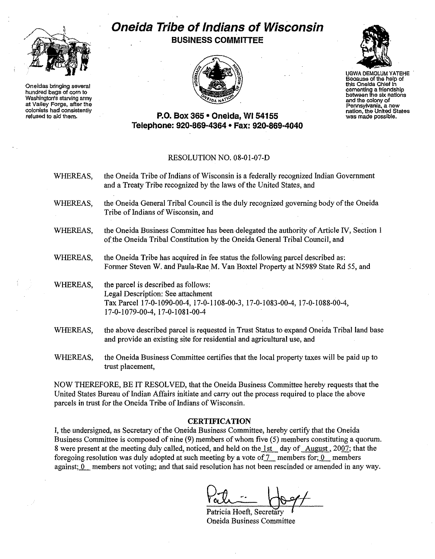

**Oneidas bringing several hundred bags of comto** Washington's starving army at Valley Forge, after the **colonists had consistently** refused to aid them.

## **Oneida Tribe of Indians of Wisconsin BUSINESS COMMITTEE**





UGWA OEMOLUM YATEHE **Because ofthe help of** this Oneida Chief In **camentlng <sup>a</sup> friendship between the sixnations** and the colony of **Pennsylvania, a new nation, the United States was madepossible.**

## **P.O. Box 365· Oneida,** WI 54155 **Telephone: 920·869·4364 • Fax: 920·869·4040**

## RESOLUTION NO. 08-01-07-D

| WHEREAS, | the Oneida Tribe of Indians of Wisconsin is a federally recognized Indian Government<br>and a Treaty Tribe recognized by the laws of the United States, and                              |
|----------|------------------------------------------------------------------------------------------------------------------------------------------------------------------------------------------|
| WHEREAS, | the Oneida General Tribal Council is the duly recognized governing body of the Oneida<br>Tribe of Indians of Wisconsin, and                                                              |
| WHEREAS, | the Oneida Business Committee has been delegated the authority of Article IV, Section 1<br>of the Oneida Tribal Constitution by the Oneida General Tribal Council, and                   |
| WHEREAS, | the Oneida Tribe has acquired in fee status the following parcel described as:<br>Former Steven W. and Paula-Rae M. Van Boxtel Property at N5989 State Rd 55, and                        |
| WHEREAS, | the parcel is described as follows:<br>Legal Description: See attachment<br>Tax Parcel 17-0-1090-00-4, 17-0-1108-00-3, 17-0-1083-00-4, 17-0-1088-00-4,<br>17-0-1079-00-4, 17-0-1081-00-4 |
| WHEREAS, | the above described parcel is requested in Trust Status to expand Oneida Tribal land base<br>and provide an existing site for residential and agricultural use, and                      |

WHEREAS, the Oneida Business Committee certifies that the local property taxes will be paid up to trust placement,

NOW THEREFORE, BE IT RESOLVED, that the Oneida Business Committee hereby requests that the United States Bureau of Indian Affairs initiate and carry out the process required to place the above parcels in trust for the Oneida Tribe of Indians of Wisconsin.

## **CERTIFICATION**

I, the undersigned, as Secretary of the Oneida Business Committee, hereby certify that the Oneida Business Committee is composed of nine (9) members of whom five (5) members constituting a quorum. 8 were present at the meeting duly called, noticed, and held on the 1st day of August, 2007; that the foregoing resolution was duly adopted at such meeting by a vote of  $\mathcal{I}$  members for;  $\mathbf{0}$  members against;  $0$  members not voting; and that said resolution has not been rescinded or amended in any way.

Patricia Hoeft, Secretary Oneida Business Committee